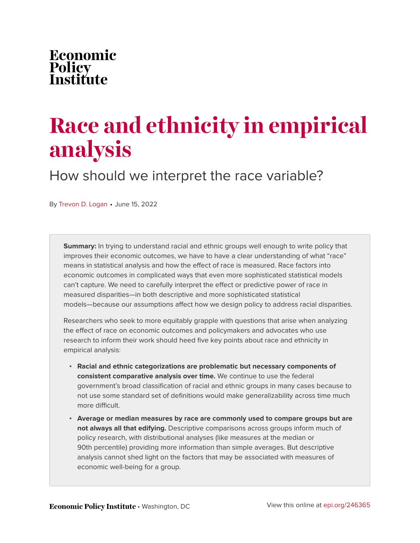## Economic Policy<br>Institute

# **Race and ethnicity in empirical analysis**

How should we interpret the race variable?

By [Trevon D. Logan](https://www.epi.org/people/trevon-d-logan/) • June 15, 2022

**Summary:** In trying to understand racial and ethnic groups well enough to write policy that improves their economic outcomes, we have to have a clear understanding of what "race" means in statistical analysis and how the effect of race is measured. Race factors into economic outcomes in complicated ways that even more sophisticated statistical models can't capture. We need to carefully interpret the effect or predictive power of race in measured disparities—in both descriptive and more sophisticated statistical models—because our assumptions affect how we design policy to address racial disparities.

Researchers who seek to more equitably grapple with questions that arise when analyzing the effect of race on economic outcomes and policymakers and advocates who use research to inform their work should heed five key points about race and ethnicity in empirical analysis:

- **Racial and ethnic categorizations are problematic but necessary components of consistent comparative analysis over time.** We continue to use the federal government's broad classification of racial and ethnic groups in many cases because to not use some standard set of definitions would make generalizability across time much more difficult.
- **Average or median measures by race are commonly used to compare groups but are not always all that edifying.** Descriptive comparisons across groups inform much of policy research, with distributional analyses (like measures at the median or 90th percentile) providing more information than simple averages. But descriptive analysis cannot shed light on the factors that may be associated with measures of economic well-being for a group.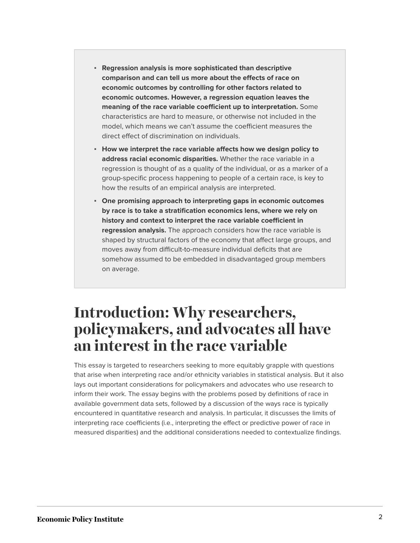- **Regression analysis is more sophisticated than descriptive comparison and can tell us more about the effects of race on economic outcomes by controlling for other factors related to economic outcomes. However, a regression equation leaves the meaning of the race variable coefficient up to interpretation.** Some characteristics are hard to measure, or otherwise not included in the model, which means we can't assume the coefficient measures the direct effect of discrimination on individuals.
- **How we interpret the race variable affects how we design policy to address racial economic disparities.** Whether the race variable in a regression is thought of as a quality of the individual, or as a marker of a group-specific process happening to people of a certain race, is key to how the results of an empirical analysis are interpreted.
- **One promising approach to interpreting gaps in economic outcomes by race is to take a stratification economics lens, where we rely on history and context to interpret the race variable coefficient in regression analysis.** The approach considers how the race variable is shaped by structural factors of the economy that affect large groups, and moves away from difficult-to-measure individual deficits that are somehow assumed to be embedded in disadvantaged group members on average.

#### **Introduction: Why researchers, policymakers, and advocates all have an interest in the race variable**

This essay is targeted to researchers seeking to more equitably grapple with questions that arise when interpreting race and/or ethnicity variables in statistical analysis. But it also lays out important considerations for policymakers and advocates who use research to inform their work. The essay begins with the problems posed by definitions of race in available government data sets, followed by a discussion of the ways race is typically encountered in quantitative research and analysis. In particular, it discusses the limits of interpreting race coefficients (i.e., interpreting the effect or predictive power of race in measured disparities) and the additional considerations needed to contextualize findings.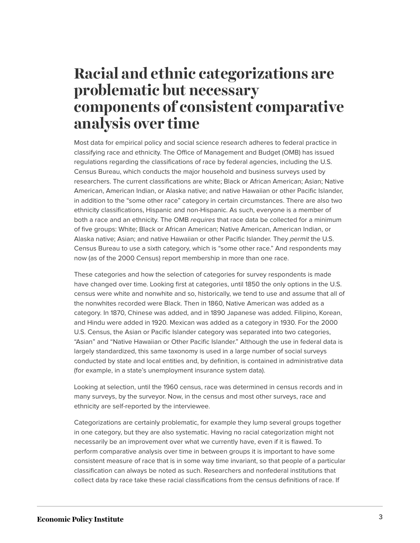#### **Racial and ethnic categorizations are problematic but necessary components of consistent comparative analysis over time**

Most data for empirical policy and social science research adheres to federal practice in classifying race and ethnicity. The Office of Management and Budget (OMB) has issued regulations regarding the classifications of race by federal agencies, including the U.S. Census Bureau, which conducts the major household and business surveys used by researchers. The current classifications are white; Black or African American; Asian; Native American, American Indian, or Alaska native; and native Hawaiian or other Pacific Islander, in addition to the "some other race" category in certain circumstances. There are also two ethnicity classifications, Hispanic and non-Hispanic. As such, everyone is a member of both a race and an ethnicity. The OMB *requires* that race data be collected for a minimum of five groups: White; Black or African American; Native American, American Indian, or Alaska native; Asian; and native Hawaiian or other Pacific Islander. They *permit* the U.S. Census Bureau to use a sixth category, which is "some other race." And respondents may now (as of the 2000 Census) report membership in more than one race.

These categories and how the selection of categories for survey respondents is made have changed over time. Looking first at categories, until 1850 the only options in the U.S. census were white and nonwhite and so, historically, we tend to use and assume that all of the nonwhites recorded were Black. Then in 1860, Native American was added as a category. In 1870, Chinese was added, and in 1890 Japanese was added. Filipino, Korean, and Hindu were added in 1920. Mexican was added as a category in 1930. For the 2000 U.S. Census, the Asian or Pacific Islander category was separated into two categories, "Asian" and "Native Hawaiian or Other Pacific Islander." Although the use in federal data is largely standardized, this same taxonomy is used in a large number of social surveys conducted by state and local entities and, by definition, is contained in administrative data (for example, in a state's unemployment insurance system data).

Looking at selection, until the 1960 census, race was determined in census records and in many surveys, by the surveyor. Now, in the census and most other surveys, race and ethnicity are self-reported by the interviewee.

Categorizations are certainly problematic, for example they lump several groups together in one category, but they are also systematic. Having no racial categorization might not necessarily be an improvement over what we currently have, even if it is flawed. To perform comparative analysis over time in between groups it is important to have some consistent measure of race that is in some way time invariant, so that people of a particular classification can always be noted as such. Researchers and nonfederal institutions that collect data by race take these racial classifications from the census definitions of race. If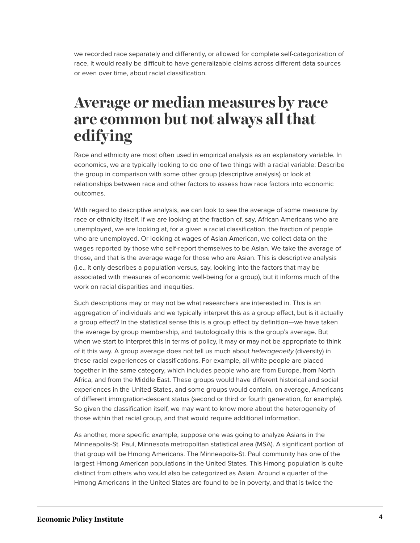we recorded race separately and differently, or allowed for complete self-categorization of race, it would really be difficult to have generalizable claims across different data sources or even over time, about racial classification.

#### **Average or median measures by race are common but not always all that edifying**

Race and ethnicity are most often used in empirical analysis as an explanatory variable. In economics, we are typically looking to do one of two things with a racial variable: Describe the group in comparison with some other group (descriptive analysis) or look at relationships between race and other factors to assess how race factors into economic outcomes.

With regard to descriptive analysis, we can look to see the average of some measure by race or ethnicity itself. If we are looking at the fraction of, say, African Americans who are unemployed, we are looking at, for a given a racial classification, the fraction of people who are unemployed. Or looking at wages of Asian American, we collect data on the wages reported by those who self-report themselves to be Asian. We take the average of those, and that is the average wage for those who are Asian. This is descriptive analysis (i.e., it only describes a population versus, say, looking into the factors that may be associated with measures of economic well-being for a group), but it informs much of the work on racial disparities and inequities.

Such descriptions may or may not be what researchers are interested in. This is an aggregation of individuals and we typically interpret this as a group effect, but is it actually a group effect? In the statistical sense this is a group effect by definition—we have taken the average by group membership, and tautologically this is the group's average. But when we start to interpret this in terms of policy, it may or may not be appropriate to think of it this way. A group average does not tell us much about *heterogeneity* (diversity) in these racial experiences or classifications. For example, all white people are placed together in the same category, which includes people who are from Europe, from North Africa, and from the Middle East. These groups would have different historical and social experiences in the United States, and some groups would contain, on average, Americans of different immigration-descent status (second or third or fourth generation, for example). So given the classification itself, we may want to know more about the heterogeneity of those within that racial group, and that would require additional information.

As another, more specific example, suppose one was going to analyze Asians in the Minneapolis-St. Paul, Minnesota metropolitan statistical area (MSA). A significant portion of that group will be Hmong Americans. The Minneapolis-St. Paul community has one of the largest Hmong American populations in the United States. This Hmong population is quite distinct from others who would also be categorized as Asian. Around a quarter of the Hmong Americans in the United States are found to be in poverty, and that is twice the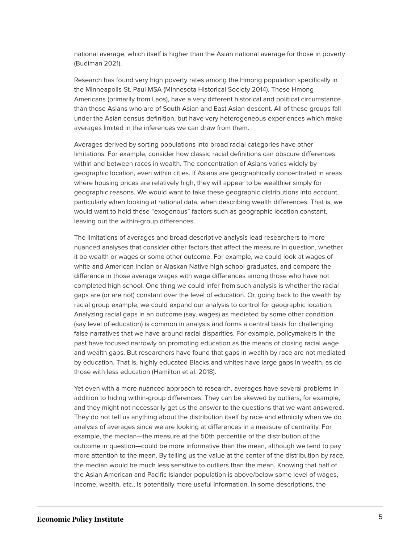national average, which itself is higher than the Asian national average for those in poverty (Budiman 2021).

Research has found very high poverty rates among the Hmong population specifically in the Minneapolis-St. Paul MSA (Minnesota Historical Society 2014). These Hmong Americans (primarily from Laos), have a very different historical and political circumstance than those Asians who are of South Asian and East Asian descent. All of these groups fall under the Asian census definition, but have very heterogeneous experiences which make averages limited in the inferences we can draw from them.

Averages derived by sorting populations into broad racial categories have other limitations. For example, consider how classic racial definitions can obscure differences within and between races in wealth. The concentration of Asians varies widely by geographic location, even within cities. If Asians are geographically concentrated in areas where housing prices are relatively high, they will appear to be wealthier simply for geographic reasons. We would want to take these geographic distributions into account, particularly when looking at national data, when describing wealth differences. That is, we would want to hold these "exogenous" factors such as geographic location constant, leaving out the within-group differences.

The limitations of averages and broad descriptive analysis lead researchers to more nuanced analyses that consider other factors that affect the measure in question, whether it be wealth or wages or some other outcome. For example, we could look at wages of white and American Indian or Alaskan Native high school graduates, and compare the difference in those average wages with wage differences among those who have not completed high school. One thing we could infer from such analysis is whether the racial gaps are (or are not) constant over the level of education. Or, going back to the wealth by racial group example, we could expand our analysis to control for geographic location. Analyzing racial gaps in an outcome (say, wages) as mediated by some other condition (say level of education) is common in analysis and forms a central basis for challenging false narratives that we have around racial disparities. For example, policymakers in the past have focused narrowly on promoting education as the means of closing racial wage and wealth gaps. But researchers have found that gaps in wealth by race are not mediated by education. That is, highly educated Blacks and whites have large gaps in wealth, as do those with less education (Hamilton et al. 2018).

Yet even with a more nuanced approach to research, averages have several problems in addition to hiding within-group differences. They can be skewed by outliers, for example, and they might not necessarily get us the answer to the questions that we want answered. They do not tell us anything about the distribution itself by race and ethnicity when we do analysis of averages since we are looking at differences in a measure of centrality. For example, the median—the measure at the 50th percentile of the distribution of the outcome in question—could be more informative than the mean, although we tend to pay more attention to the mean. By telling us the value at the center of the distribution by race, the median would be much less sensitive to outliers than the mean. Knowing that half of the Asian American and Pacific Islander population is above/below some level of wages, income, wealth, etc., is potentially more useful information. In some descriptions, the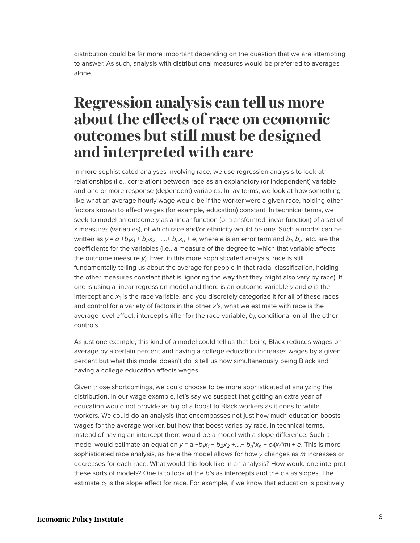distribution could be far more important depending on the question that we are attempting to answer. As such, analysis with distributional measures would be preferred to averages alone.

#### **Regression analysis can tell us more about the effects of race on economic outcomes but still must be designed and interpreted with care**

In more sophisticated analyses involving race, we use regression analysis to look at relationships (i.e., correlation) between race as an explanatory (or independent) variable and one or more response (dependent) variables. In lay terms, we look at how something like what an average hourly wage would be if the worker were a given race, holding other factors known to affect wages (for example, education) constant. In technical terms, we seek to model an outcome *y* as a linear function (or transformed linear function) of a set of *x* measures (variables), of which race and/or ethnicity would be one. Such a model can be written as  $y = a + b_1x_1 + b_2x_2 + ... + b_nx_n + e$ , where e is an error term and  $b_1$ ,  $b_2$ , etc. are the coefficients for the variables (i.e., a measure of the degree to which that variable affects the outcome measure *y*). Even in this more sophisticated analysis, race is still fundamentally telling us about the average for people in that racial classification, holding the other measures constant (that is, ignoring the way that they might also vary by race). If one is using a linear regression model and there is an outcome variable *y* and *a* is the intercept and  $x_{1}$  is the race variable, and you discretely categorize it for all of these races and control for a variety of factors in the other *x'*s, what we estimate with race is the average level effect, intercept shifter for the race variable, *b<sup>1</sup>* , conditional on all the other controls.

As just one example, this kind of a model could tell us that being Black reduces wages on average by a certain percent and having a college education increases wages by a given percent but what this model doesn't do is tell us how simultaneously being Black and having a college education affects wages.

Given those shortcomings, we could choose to be more sophisticated at analyzing the distribution. In our wage example, let's say we suspect that getting an extra year of education would not provide as big of a boost to Black workers as it does to white workers. We could do an analysis that encompasses not just how much education boosts wages for the average worker, but how that boost varies by race. In technical terms, instead of having an intercept there would be a model with a slope difference. Such a model would estimate an equation  $y = a + b_1x_1 + b_2x_2 + ... + b_n*x_n + c_1(x_1^*m) + e$ . This is more sophisticated race analysis, as here the model allows for how *y* changes as *m* increases or decreases for each race. What would this look like in an analysis? How would one interpret these sorts of models? One is to look at the *b*'s as intercepts and the c's as slopes. The estimate  $c_f$  is the slope effect for race. For example, if we know that education is positively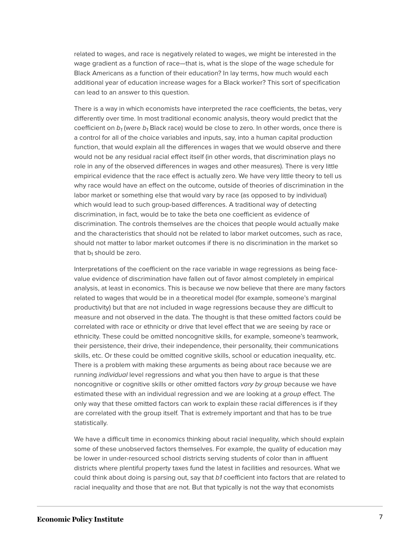related to wages, and race is negatively related to wages, we might be interested in the wage gradient as a function of race—that is, what is the slope of the wage schedule for Black Americans as a function of their education? In lay terms, how much would each additional year of education increase wages for a Black worker? This sort of specification can lead to an answer to this question.

There is a way in which economists have interpreted the race coefficients, the betas, very differently over time. In most traditional economic analysis, theory would predict that the coefficient on *b<sup>1</sup>* (were *b<sup>1</sup>* Black race) would be close to zero. In other words, once there is a control for all of the choice variables and inputs, say, into a human capital production function, that would explain all the differences in wages that we would observe and there would not be any residual racial effect itself (in other words, that discrimination plays no role in any of the observed differences in wages and other measures). There is very little empirical evidence that the race effect is actually zero. We have very little theory to tell us why race would have an effect on the outcome, outside of theories of discrimination in the labor market or something else that would vary by race (as opposed to by individual) which would lead to such group-based differences. A traditional way of detecting discrimination, in fact, would be to take the beta one coefficient as evidence of discrimination. The controls themselves are the choices that people would actually make and the characteristics that should not be related to labor market outcomes, such as race, should not matter to labor market outcomes if there is no discrimination in the market so that  $b_1$  should be zero.

Interpretations of the coefficient on the race variable in wage regressions as being facevalue evidence of discrimination have fallen out of favor almost completely in empirical analysis, at least in economics. This is because we now believe that there are many factors related to wages that would be in a theoretical model (for example, someone's marginal productivity) but that are not included in wage regressions because they are difficult to measure and not observed in the data. The thought is that these omitted factors could be correlated with race or ethnicity or drive that level effect that we are seeing by race or ethnicity. These could be omitted noncognitive skills, for example, someone's teamwork, their persistence, their drive, their independence, their personality, their communications skills, etc. Or these could be omitted cognitive skills, school or education inequality, etc. There is a problem with making these arguments as being about race because we are running *individual* level regressions and what you then have to argue is that these noncognitive or cognitive skills or other omitted factors *vary by group* because we have estimated these with an individual regression and we are looking at a *group* effect. The only way that these omitted factors can work to explain these racial differences is if they are correlated with the group itself. That is extremely important and that has to be true statistically.

We have a difficult time in economics thinking about racial inequality, which should explain some of these unobserved factors themselves. For example, the quality of education may be lower in under-resourced school districts serving students of color than in affluent districts where plentiful property taxes fund the latest in facilities and resources. What we could think about doing is parsing out, say that *b1* coefficient into factors that are related to racial inequality and those that are not. But that typically is not the way that economists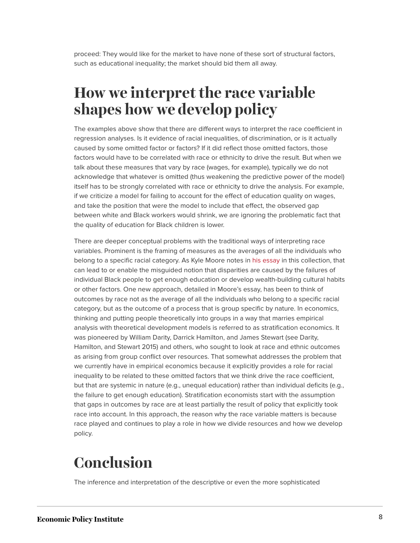proceed: They would like for the market to have none of these sort of structural factors, such as educational inequality; the market should bid them all away.

### **How we interpret the race variable shapes how we develop policy**

The examples above show that there are different ways to interpret the race coefficient in regression analyses. Is it evidence of racial inequalities, of discrimination, or is it actually caused by some omitted factor or factors? If it did reflect those omitted factors, those factors would have to be correlated with race or ethnicity to drive the result. But when we talk about these measures that vary by race (wages, for example), typically we do not acknowledge that whatever is omitted (thus weakening the predictive power of the model) itself has to be strongly correlated with race or ethnicity to drive the analysis. For example, if we criticize a model for failing to account for the effect of education quality on wages, and take the position that were the model to include that effect, the observed gap between white and Black workers would shrink, we are ignoring the problematic fact that the quality of education for Black children is lower.

There are deeper conceptual problems with the traditional ways of interpreting race variables. Prominent is the framing of measures as the averages of all the individuals who belong to a specific racial category. As Kyle Moore notes in [his essay](https://www.epi.org/anti-racist-policy-research/stratification-economics) in this collection, that can lead to or enable the misguided notion that disparities are caused by the failures of individual Black people to get enough education or develop wealth-building cultural habits or other factors. One new approach, detailed in Moore's essay, has been to think of outcomes by race not as the average of all the individuals who belong to a specific racial category, but as the outcome of a process that is group specific by nature. In economics, thinking and putting people theoretically into groups in a way that marries empirical analysis with theoretical development models is referred to as stratification economics. It was pioneered by William Darity, Darrick Hamilton, and James Stewart (see Darity, Hamilton, and Stewart 2015) and others, who sought to look at race and ethnic outcomes as arising from group conflict over resources. That somewhat addresses the problem that we currently have in empirical economics because it explicitly provides a role for racial inequality to be related to these omitted factors that we think drive the race coefficient, but that are systemic in nature (e.g., unequal education) rather than individual deficits (e.g., the failure to get enough education). Stratification economists start with the assumption that gaps in outcomes by race are at least partially the result of policy that explicitly took race into account. In this approach, the reason why the race variable matters is because race played and continues to play a role in how we divide resources and how we develop policy.

### **Conclusion**

The inference and interpretation of the descriptive or even the more sophisticated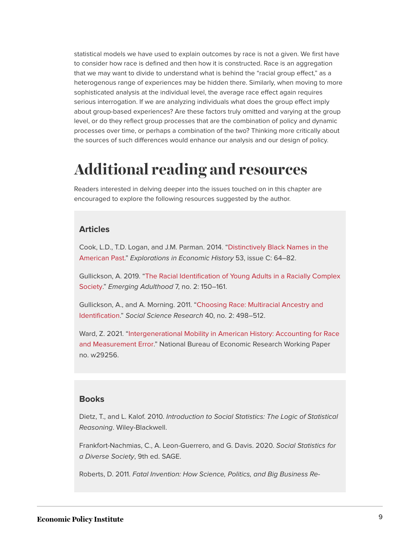statistical models we have used to explain outcomes by race is not a given. We first have to consider how race is defined and then how it is constructed. Race is an aggregation that we may want to divide to understand what is behind the "racial group effect," as a heterogenous range of experiences may be hidden there. Similarly, when moving to more sophisticated analysis at the individual level, the average race effect again requires serious interrogation. If we are analyzing individuals what does the group effect imply about group-based experiences? Are these factors truly omitted and varying at the group level, or do they reflect group processes that are the combination of policy and dynamic processes over time, or perhaps a combination of the two? Thinking more critically about the sources of such differences would enhance our analysis and our design of policy.

#### **Additional reading and resources**

Readers interested in delving deeper into the issues touched on in this chapter are encouraged to explore the following resources suggested by the author.

#### **Articles**

Cook, L.D., T.D. Logan, and J.M. Parman. 2014. "[Distinctively Black Names in the](https://ideas.repec.org/a/eee/exehis/v53y2014icp64-82.html) [American Past](https://ideas.repec.org/a/eee/exehis/v53y2014icp64-82.html)." *Explorations in Economic History* 53, issue C: 64–82.

Gullickson, A. 2019. "[The Racial Identification of Young Adults in a Racially Complex](https://journals.sagepub.com/doi/10.1177/2167696818790306) [Society](https://journals.sagepub.com/doi/10.1177/2167696818790306)." *Emerging Adulthood* 7, no. 2: 150–161.

Gullickson, A., and A. Morning. 2011. "[Choosing Race: Multiracial Ancestry and](https://sciencedirect.com/science/article/abs/pii/S0049089X10002899) [Identification.](https://sciencedirect.com/science/article/abs/pii/S0049089X10002899)" *Social Science Research* 40, no. 2: 498–512.

Ward, Z. 2021. ["Intergenerational Mobility in American History: Accounting for Race](https://drive.google.com/file/d/1UbtcxtQY83qErFJobnbIWR0APFsPIe16/view) [and Measurement Error.](https://drive.google.com/file/d/1UbtcxtQY83qErFJobnbIWR0APFsPIe16/view)" National Bureau of Economic Research Working Paper no. w29256.

#### **Books**

Dietz, T., and L. Kalof. 2010. *Introduction to Social Statistics: The Logic of Statistical Reasoning*. Wiley-Blackwell.

Frankfort-Nachmias, C., A. Leon-Guerrero, and G. Davis. 2020. *Social Statistics for a Diverse Society*, 9th ed. SAGE.

Roberts, D. 2011. *Fatal Invention: How Science, Politics, and Big Business Re-*